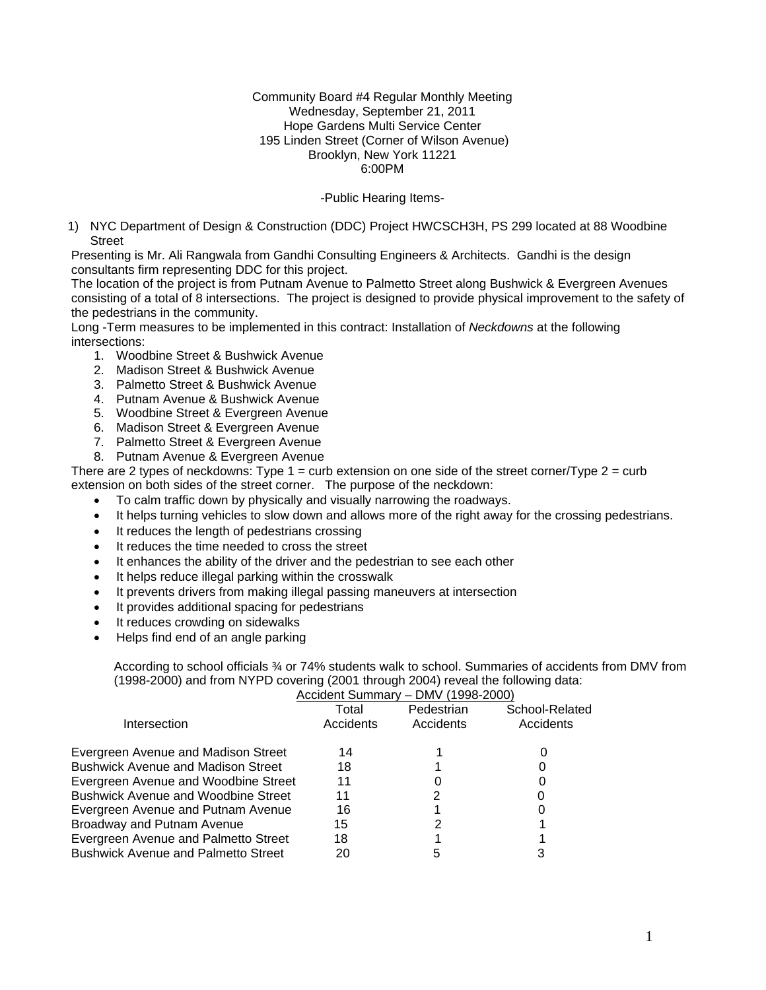#### Community Board #4 Regular Monthly Meeting Wednesday, September 21, 2011 Hope Gardens Multi Service Center 195 Linden Street (Corner of Wilson Avenue) Brooklyn, New York 11221 6:00PM

## -Public Hearing Items-

1) NYC Department of Design & Construction (DDC) Project HWCSCH3H, PS 299 located at 88 Woodbine Street

Presenting is Mr. Ali Rangwala from Gandhi Consulting Engineers & Architects. Gandhi is the design consultants firm representing DDC for this project.

The location of the project is from Putnam Avenue to Palmetto Street along Bushwick & Evergreen Avenues consisting of a total of 8 intersections. The project is designed to provide physical improvement to the safety of the pedestrians in the community.

Long -Term measures to be implemented in this contract: Installation of *Neckdowns* at the following intersections:

- 1. Woodbine Street & Bushwick Avenue
- 2. Madison Street & Bushwick Avenue
- 3. Palmetto Street & Bushwick Avenue
- 4. Putnam Avenue & Bushwick Avenue
- 5. Woodbine Street & Evergreen Avenue
- 6. Madison Street & Evergreen Avenue
- 7. Palmetto Street & Evergreen Avenue
- 8. Putnam Avenue & Evergreen Avenue

There are 2 types of neckdowns: Type  $1 =$  curb extension on one side of the street corner/Type  $2 =$  curb extension on both sides of the street corner. The purpose of the neckdown:

- To calm traffic down by physically and visually narrowing the roadways.
- It helps turning vehicles to slow down and allows more of the right away for the crossing pedestrians.
- It reduces the length of pedestrians crossing
- It reduces the time needed to cross the street
- It enhances the ability of the driver and the pedestrian to see each other
- It helps reduce illegal parking within the crosswalk
- It prevents drivers from making illegal passing maneuvers at intersection
- It provides additional spacing for pedestrians
- It reduces crowding on sidewalks
- Helps find end of an angle parking

According to school officials ¾ or 74% students walk to school. Summaries of accidents from DMV from (1998-2000) and from NYPD covering (2001 through 2004) reveal the following data:

| Accident Summary - DMV (1998-2000) |  |
|------------------------------------|--|
|                                    |  |

|                                            | $\overline{\phantom{a}}$ , roomach is o cuite an i<br>PIVIV LISSO LOOS |            |                |  |
|--------------------------------------------|------------------------------------------------------------------------|------------|----------------|--|
|                                            | Total                                                                  | Pedestrian | School-Related |  |
| Intersection                               | Accidents                                                              | Accidents  | Accidents      |  |
| Evergreen Avenue and Madison Street        | 14                                                                     |            |                |  |
| <b>Bushwick Avenue and Madison Street</b>  | 18                                                                     |            |                |  |
| Evergreen Avenue and Woodbine Street       | 11                                                                     |            |                |  |
| <b>Bushwick Avenue and Woodbine Street</b> | 11                                                                     |            |                |  |
| Evergreen Avenue and Putnam Avenue         | 16                                                                     |            |                |  |
| <b>Broadway and Putnam Avenue</b>          | 15                                                                     |            |                |  |
| Evergreen Avenue and Palmetto Street       | 18                                                                     |            |                |  |
| <b>Bushwick Avenue and Palmetto Street</b> | 20                                                                     |            |                |  |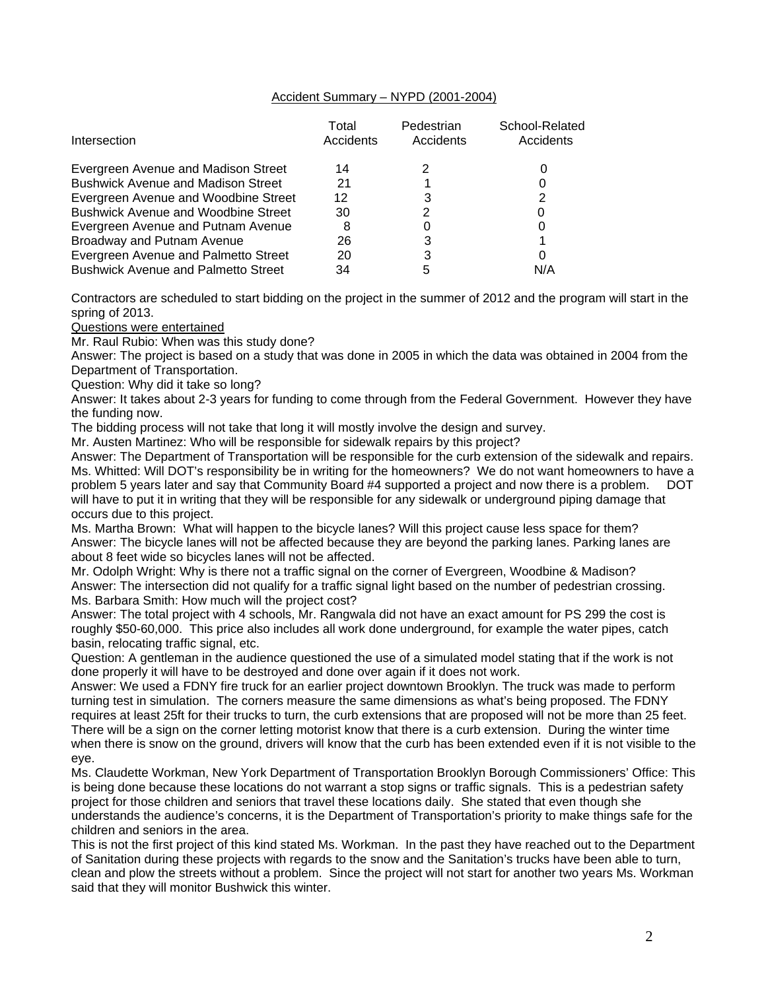## Accident Summary – NYPD (2001-2004)

| Intersection                               | Total<br>Accidents | Pedestrian<br>Accidents | School-Related<br>Accidents |
|--------------------------------------------|--------------------|-------------------------|-----------------------------|
|                                            |                    |                         |                             |
| Evergreen Avenue and Madison Street        | 14                 |                         |                             |
| <b>Bushwick Avenue and Madison Street</b>  | 21                 |                         |                             |
| Evergreen Avenue and Woodbine Street       | 12                 |                         | 2                           |
| <b>Bushwick Avenue and Woodbine Street</b> | 30                 |                         |                             |
| Evergreen Avenue and Putnam Avenue         | 8                  |                         |                             |
| Broadway and Putnam Avenue                 | 26                 |                         |                             |
| Evergreen Avenue and Palmetto Street       | 20                 |                         | 0                           |
| <b>Bushwick Avenue and Palmetto Street</b> | 34                 |                         | N/A                         |

Contractors are scheduled to start bidding on the project in the summer of 2012 and the program will start in the spring of 2013.

Questions were entertained

Mr. Raul Rubio: When was this study done?

Answer: The project is based on a study that was done in 2005 in which the data was obtained in 2004 from the Department of Transportation.

Question: Why did it take so long?

Answer: It takes about 2-3 years for funding to come through from the Federal Government. However they have the funding now.

The bidding process will not take that long it will mostly involve the design and survey.

Mr. Austen Martinez: Who will be responsible for sidewalk repairs by this project?

Answer: The Department of Transportation will be responsible for the curb extension of the sidewalk and repairs. Ms. Whitted: Will DOT's responsibility be in writing for the homeowners? We do not want homeowners to have a problem 5 years later and say that Community Board #4 supported a project and now there is a problem. DOT will have to put it in writing that they will be responsible for any sidewalk or underground piping damage that occurs due to this project.

Ms. Martha Brown: What will happen to the bicycle lanes? Will this project cause less space for them? Answer: The bicycle lanes will not be affected because they are beyond the parking lanes. Parking lanes are about 8 feet wide so bicycles lanes will not be affected.

Mr. Odolph Wright: Why is there not a traffic signal on the corner of Evergreen, Woodbine & Madison? Answer: The intersection did not qualify for a traffic signal light based on the number of pedestrian crossing. Ms. Barbara Smith: How much will the project cost?

Answer: The total project with 4 schools, Mr. Rangwala did not have an exact amount for PS 299 the cost is roughly \$50-60,000. This price also includes all work done underground, for example the water pipes, catch basin, relocating traffic signal, etc.

Question: A gentleman in the audience questioned the use of a simulated model stating that if the work is not done properly it will have to be destroyed and done over again if it does not work.

Answer: We used a FDNY fire truck for an earlier project downtown Brooklyn. The truck was made to perform turning test in simulation. The corners measure the same dimensions as what's being proposed. The FDNY requires at least 25ft for their trucks to turn, the curb extensions that are proposed will not be more than 25 feet. There will be a sign on the corner letting motorist know that there is a curb extension. During the winter time when there is snow on the ground, drivers will know that the curb has been extended even if it is not visible to the eye.

Ms. Claudette Workman, New York Department of Transportation Brooklyn Borough Commissioners' Office: This is being done because these locations do not warrant a stop signs or traffic signals. This is a pedestrian safety project for those children and seniors that travel these locations daily. She stated that even though she understands the audience's concerns, it is the Department of Transportation's priority to make things safe for the children and seniors in the area.

This is not the first project of this kind stated Ms. Workman. In the past they have reached out to the Department of Sanitation during these projects with regards to the snow and the Sanitation's trucks have been able to turn, clean and plow the streets without a problem. Since the project will not start for another two years Ms. Workman said that they will monitor Bushwick this winter.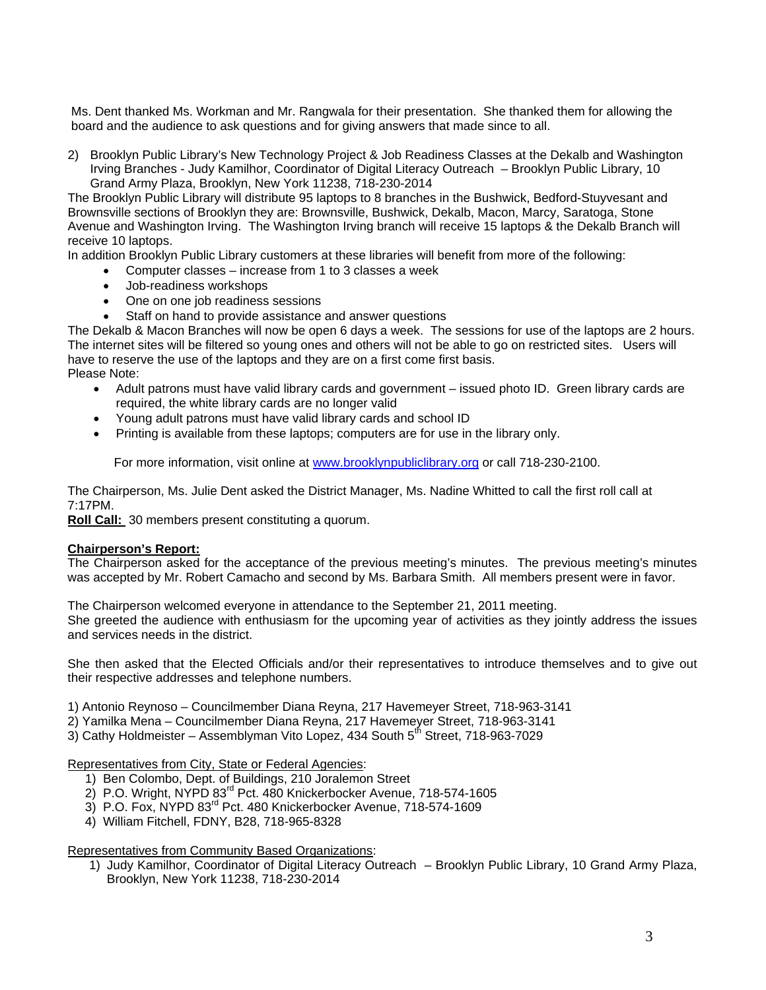Ms. Dent thanked Ms. Workman and Mr. Rangwala for their presentation. She thanked them for allowing the board and the audience to ask questions and for giving answers that made since to all.

2) Brooklyn Public Library's New Technology Project & Job Readiness Classes at the Dekalb and Washington Irving Branches - Judy Kamilhor, Coordinator of Digital Literacy Outreach – Brooklyn Public Library, 10 Grand Army Plaza, Brooklyn, New York 11238, 718-230-2014

The Brooklyn Public Library will distribute 95 laptops to 8 branches in the Bushwick, Bedford-Stuyvesant and Brownsville sections of Brooklyn they are: Brownsville, Bushwick, Dekalb, Macon, Marcy, Saratoga, Stone Avenue and Washington Irving. The Washington Irving branch will receive 15 laptops & the Dekalb Branch will receive 10 laptops.

In addition Brooklyn Public Library customers at these libraries will benefit from more of the following:

- Computer classes increase from 1 to 3 classes a week
- Job-readiness workshops
- One on one job readiness sessions
- Staff on hand to provide assistance and answer questions

The Dekalb & Macon Branches will now be open 6 days a week. The sessions for use of the laptops are 2 hours. The internet sites will be filtered so young ones and others will not be able to go on restricted sites. Users will have to reserve the use of the laptops and they are on a first come first basis. Please Note:

- Adult patrons must have valid library cards and government issued photo ID. Green library cards are required, the white library cards are no longer valid
- Young adult patrons must have valid library cards and school ID
- Printing is available from these laptops; computers are for use in the library only.

For more information, visit online at www.brooklynpubliclibrary.org or call 718-230-2100.

The Chairperson, Ms. Julie Dent asked the District Manager, Ms. Nadine Whitted to call the first roll call at 7:17PM.

**Roll Call:** 30 members present constituting a quorum.

## **Chairperson's Report:**

The Chairperson asked for the acceptance of the previous meeting's minutes. The previous meeting's minutes was accepted by Mr. Robert Camacho and second by Ms. Barbara Smith. All members present were in favor.

The Chairperson welcomed everyone in attendance to the September 21, 2011 meeting. She greeted the audience with enthusiasm for the upcoming year of activities as they jointly address the issues and services needs in the district.

She then asked that the Elected Officials and/or their representatives to introduce themselves and to give out their respective addresses and telephone numbers.

1) Antonio Reynoso – Councilmember Diana Reyna, 217 Havemeyer Street, 718-963-3141

- 2) Yamilka Mena Councilmember Diana Reyna, 217 Havemeyer Street, 718-963-3141
- 3) Cathy Holdmeister Assemblyman Vito Lopez, 434 South  $5<sup>th</sup>$  Street, 718-963-7029

Representatives from City, State or Federal Agencies:

- 1) Ben Colombo, Dept. of Buildings, 210 Joralemon Street
- 2) P.O. Wright, NYPD 83<sup>rd</sup> Pct. 480 Knickerbocker Avenue, 718-574-1605
- 3) P.O. Fox, NYPD 83<sup>rd</sup> Pct. 480 Knickerbocker Avenue, 718-574-1609
- 4) William Fitchell, FDNY, B28, 718-965-8328

Representatives from Community Based Organizations:

1) Judy Kamilhor, Coordinator of Digital Literacy Outreach – Brooklyn Public Library, 10 Grand Army Plaza, Brooklyn, New York 11238, 718-230-2014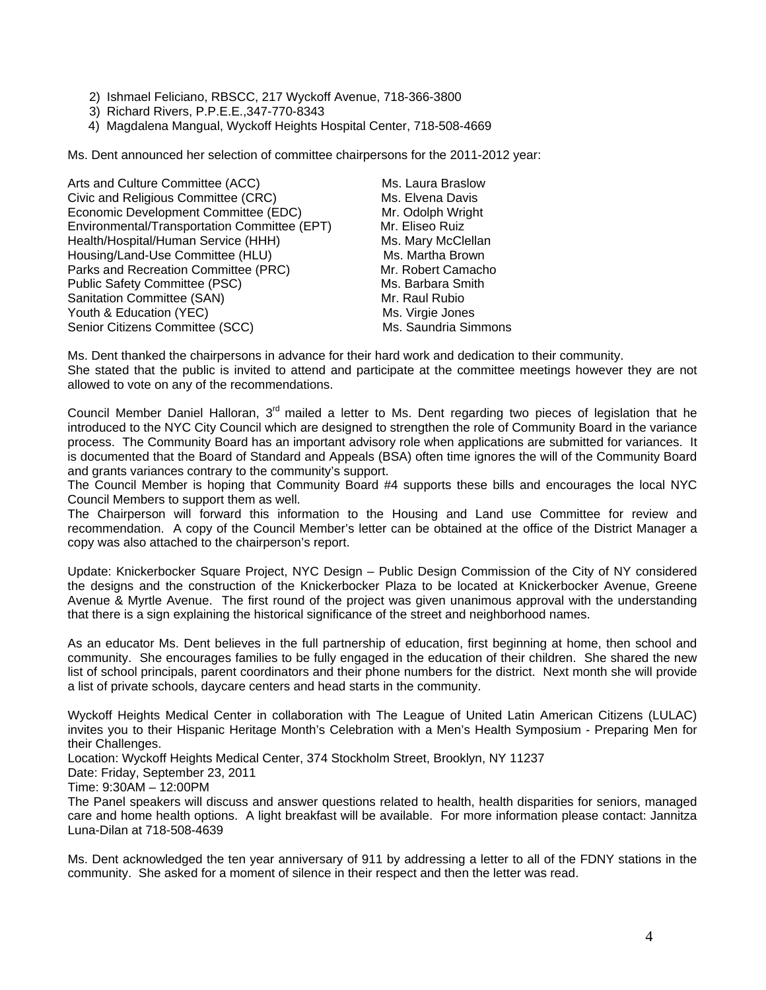- 2) Ishmael Feliciano, RBSCC, 217 Wyckoff Avenue, 718-366-3800
- 3) Richard Rivers, P.P.E.E.,347-770-8343
- 4) Magdalena Mangual, Wyckoff Heights Hospital Center, 718-508-4669

Ms. Dent announced her selection of committee chairpersons for the 2011-2012 year:

Arts and Culture Committee (ACC) Ms. Laura Braslow Civic and Religious Committee (CRC) Ms. Elvena Davis Economic Development Committee (EDC) Mr. Odolph Wright<br>
Environmental/Transportation Committee (EPT) Mr. Eliseo Ruiz Environmental/Transportation Committee (EPT) Health/Hospital/Human Service (HHH) Ms. Mary McClellan<br>Housing/Land-Use Committee (HLU) Ms. Martha Brown Housing/Land-Use Committee (HLU) Parks and Recreation Committee (PRC) Mr. Robert Camacho Public Safety Committee (PSC) Ms. Barbara Smith Sanitation Committee (SAN) Mr. Raul Rubio Youth & Education (YEC) Ms. Virgie Jones Senior Citizens Committee (SCC) Ms. Saundria Simmons

Ms. Dent thanked the chairpersons in advance for their hard work and dedication to their community. She stated that the public is invited to attend and participate at the committee meetings however they are not allowed to vote on any of the recommendations.

Council Member Daniel Halloran, 3<sup>rd</sup> mailed a letter to Ms. Dent regarding two pieces of legislation that he introduced to the NYC City Council which are designed to strengthen the role of Community Board in the variance process. The Community Board has an important advisory role when applications are submitted for variances. It is documented that the Board of Standard and Appeals (BSA) often time ignores the will of the Community Board and grants variances contrary to the community's support.

The Council Member is hoping that Community Board #4 supports these bills and encourages the local NYC Council Members to support them as well.

The Chairperson will forward this information to the Housing and Land use Committee for review and recommendation. A copy of the Council Member's letter can be obtained at the office of the District Manager a copy was also attached to the chairperson's report.

Update: Knickerbocker Square Project, NYC Design – Public Design Commission of the City of NY considered the designs and the construction of the Knickerbocker Plaza to be located at Knickerbocker Avenue, Greene Avenue & Myrtle Avenue. The first round of the project was given unanimous approval with the understanding that there is a sign explaining the historical significance of the street and neighborhood names.

As an educator Ms. Dent believes in the full partnership of education, first beginning at home, then school and community. She encourages families to be fully engaged in the education of their children. She shared the new list of school principals, parent coordinators and their phone numbers for the district. Next month she will provide a list of private schools, daycare centers and head starts in the community.

Wyckoff Heights Medical Center in collaboration with The League of United Latin American Citizens (LULAC) invites you to their Hispanic Heritage Month's Celebration with a Men's Health Symposium - Preparing Men for their Challenges.

Location: Wyckoff Heights Medical Center, 374 Stockholm Street, Brooklyn, NY 11237

Date: Friday, September 23, 2011

Time: 9:30AM – 12:00PM

The Panel speakers will discuss and answer questions related to health, health disparities for seniors, managed care and home health options. A light breakfast will be available. For more information please contact: Jannitza Luna-Dilan at 718-508-4639

Ms. Dent acknowledged the ten year anniversary of 911 by addressing a letter to all of the FDNY stations in the community. She asked for a moment of silence in their respect and then the letter was read.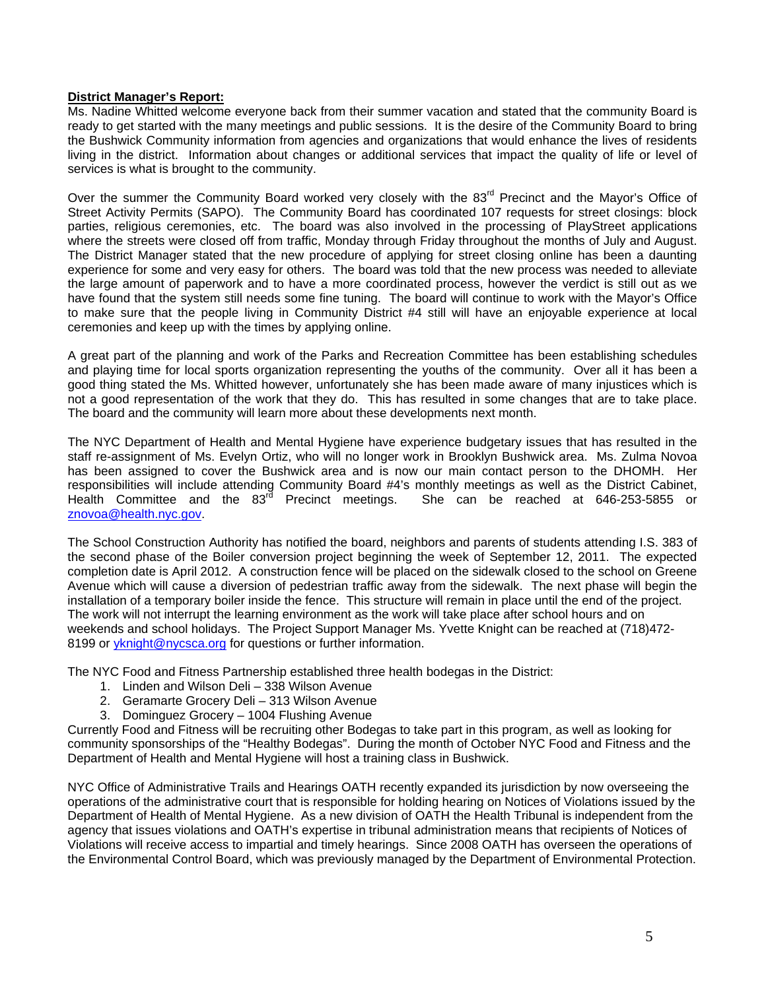## **District Manager's Report:**

Ms. Nadine Whitted welcome everyone back from their summer vacation and stated that the community Board is ready to get started with the many meetings and public sessions. It is the desire of the Community Board to bring the Bushwick Community information from agencies and organizations that would enhance the lives of residents living in the district. Information about changes or additional services that impact the quality of life or level of services is what is brought to the community.

Over the summer the Community Board worked very closely with the 83<sup>rd</sup> Precinct and the Mayor's Office of Street Activity Permits (SAPO). The Community Board has coordinated 107 requests for street closings: block parties, religious ceremonies, etc. The board was also involved in the processing of PlayStreet applications where the streets were closed off from traffic, Monday through Friday throughout the months of July and August. The District Manager stated that the new procedure of applying for street closing online has been a daunting experience for some and very easy for others. The board was told that the new process was needed to alleviate the large amount of paperwork and to have a more coordinated process, however the verdict is still out as we have found that the system still needs some fine tuning. The board will continue to work with the Mayor's Office to make sure that the people living in Community District #4 still will have an enjoyable experience at local ceremonies and keep up with the times by applying online.

A great part of the planning and work of the Parks and Recreation Committee has been establishing schedules and playing time for local sports organization representing the youths of the community. Over all it has been a good thing stated the Ms. Whitted however, unfortunately she has been made aware of many injustices which is not a good representation of the work that they do. This has resulted in some changes that are to take place. The board and the community will learn more about these developments next month.

The NYC Department of Health and Mental Hygiene have experience budgetary issues that has resulted in the staff re-assignment of Ms. Evelyn Ortiz, who will no longer work in Brooklyn Bushwick area. Ms. Zulma Novoa has been assigned to cover the Bushwick area and is now our main contact person to the DHOMH. Her responsibilities will include attending Community Board #4's monthly meetings as well as the District Cabinet, Health Committee and the 83<sup>rd</sup> Precinct meetings. She can be reached at 646-253-5855 or znovoa@health.nyc.gov.

The School Construction Authority has notified the board, neighbors and parents of students attending I.S. 383 of the second phase of the Boiler conversion project beginning the week of September 12, 2011. The expected completion date is April 2012. A construction fence will be placed on the sidewalk closed to the school on Greene Avenue which will cause a diversion of pedestrian traffic away from the sidewalk. The next phase will begin the installation of a temporary boiler inside the fence. This structure will remain in place until the end of the project. The work will not interrupt the learning environment as the work will take place after school hours and on weekends and school holidays. The Project Support Manager Ms. Yvette Knight can be reached at (718)472- 8199 or yknight@nycsca.org for questions or further information.

The NYC Food and Fitness Partnership established three health bodegas in the District:

- 1. Linden and Wilson Deli 338 Wilson Avenue
- 2. Geramarte Grocery Deli 313 Wilson Avenue
- 3. Dominguez Grocery 1004 Flushing Avenue

Currently Food and Fitness will be recruiting other Bodegas to take part in this program, as well as looking for community sponsorships of the "Healthy Bodegas". During the month of October NYC Food and Fitness and the Department of Health and Mental Hygiene will host a training class in Bushwick.

NYC Office of Administrative Trails and Hearings OATH recently expanded its jurisdiction by now overseeing the operations of the administrative court that is responsible for holding hearing on Notices of Violations issued by the Department of Health of Mental Hygiene. As a new division of OATH the Health Tribunal is independent from the agency that issues violations and OATH's expertise in tribunal administration means that recipients of Notices of Violations will receive access to impartial and timely hearings. Since 2008 OATH has overseen the operations of the Environmental Control Board, which was previously managed by the Department of Environmental Protection.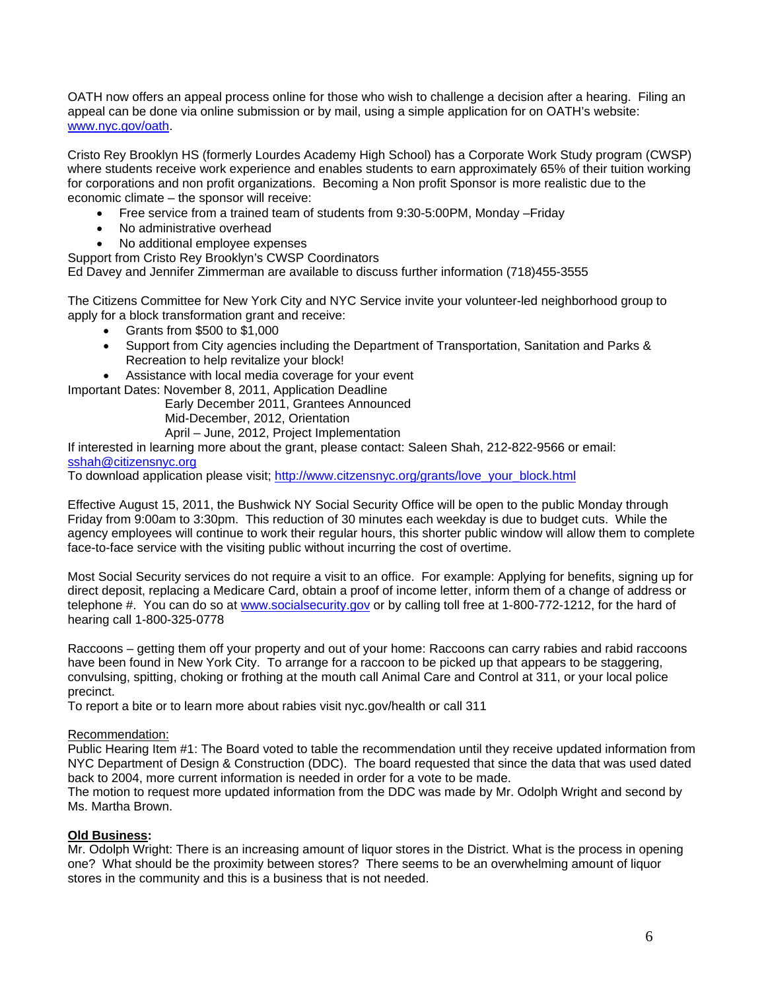OATH now offers an appeal process online for those who wish to challenge a decision after a hearing. Filing an appeal can be done via online submission or by mail, using a simple application for on OATH's website: www.nyc.gov/oath.

Cristo Rey Brooklyn HS (formerly Lourdes Academy High School) has a Corporate Work Study program (CWSP) where students receive work experience and enables students to earn approximately 65% of their tuition working for corporations and non profit organizations. Becoming a Non profit Sponsor is more realistic due to the economic climate – the sponsor will receive:

- Free service from a trained team of students from 9:30-5:00PM, Monday –Friday
- No administrative overhead
- No additional employee expenses

Support from Cristo Rey Brooklyn's CWSP Coordinators

Ed Davey and Jennifer Zimmerman are available to discuss further information (718)455-3555

The Citizens Committee for New York City and NYC Service invite your volunteer-led neighborhood group to apply for a block transformation grant and receive:

- Grants from \$500 to \$1,000
- Support from City agencies including the Department of Transportation, Sanitation and Parks & Recreation to help revitalize your block!
- Assistance with local media coverage for your event

Important Dates: November 8, 2011, Application Deadline

 Early December 2011, Grantees Announced Mid-December, 2012, Orientation

April – June, 2012, Project Implementation

If interested in learning more about the grant, please contact: Saleen Shah, 212-822-9566 or email: sshah@citizensnyc.org

To download application please visit; http://www.citzensnyc.org/grants/love\_your\_block.html

Effective August 15, 2011, the Bushwick NY Social Security Office will be open to the public Monday through Friday from 9:00am to 3:30pm. This reduction of 30 minutes each weekday is due to budget cuts. While the agency employees will continue to work their regular hours, this shorter public window will allow them to complete face-to-face service with the visiting public without incurring the cost of overtime.

Most Social Security services do not require a visit to an office. For example: Applying for benefits, signing up for direct deposit, replacing a Medicare Card, obtain a proof of income letter, inform them of a change of address or telephone #. You can do so at www.socialsecurity.gov or by calling toll free at 1-800-772-1212, for the hard of hearing call 1-800-325-0778

Raccoons – getting them off your property and out of your home: Raccoons can carry rabies and rabid raccoons have been found in New York City. To arrange for a raccoon to be picked up that appears to be staggering, convulsing, spitting, choking or frothing at the mouth call Animal Care and Control at 311, or your local police precinct.

To report a bite or to learn more about rabies visit nyc.gov/health or call 311

#### Recommendation:

Public Hearing Item #1: The Board voted to table the recommendation until they receive updated information from NYC Department of Design & Construction (DDC). The board requested that since the data that was used dated back to 2004, more current information is needed in order for a vote to be made.

The motion to request more updated information from the DDC was made by Mr. Odolph Wright and second by Ms. Martha Brown.

#### **Old Business:**

Mr. Odolph Wright: There is an increasing amount of liquor stores in the District. What is the process in opening one? What should be the proximity between stores? There seems to be an overwhelming amount of liquor stores in the community and this is a business that is not needed.